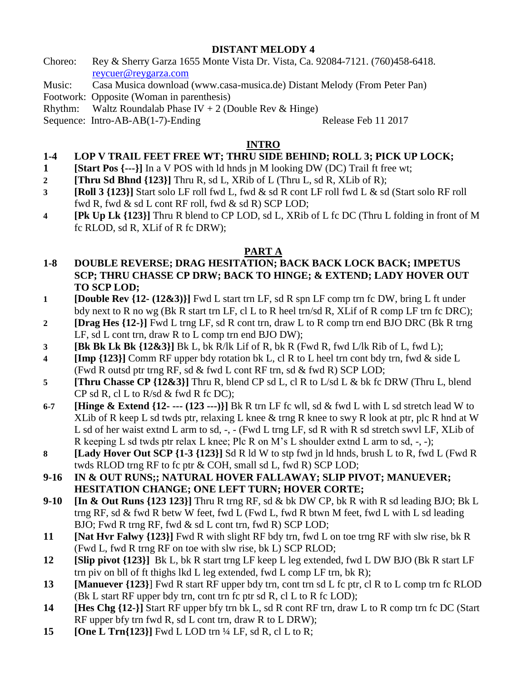## **DISTANT MELODY 4**

- Choreo: Rey & Sherry Garza 1655 Monte Vista Dr. Vista, Ca. 92084-7121. (760)458-6418. [reycuer@reygarza.com](mailto:reycuer@hotmail.com)
- Music: Casa Musica download (www.casa-musica.de) Distant Melody (From Peter Pan)

Footwork: Opposite (Woman in parenthesis)

Rhythm: Waltz Roundalab Phase IV + 2 (Double Rev & Hinge)

Sequence: Intro-AB-AB(1-7)-Ending Release Feb 11 2017

# **INTRO**

# **1-4 LOP V TRAIL FEET FREE WT; THRU SIDE BEHIND; ROLL 3; PICK UP LOCK;**

- **1 [Start Pos {---}]** In a V POS with ld hnds jn M looking DW (DC) Trail ft free wt;
- **2 [Thru Sd Bhnd {123}]** Thru R, sd L, XRib of L (Thru L, sd R, XLib of R);
- **3 [Roll 3 {123}]** Start solo LF roll fwd L, fwd & sd R cont LF roll fwd L & sd (Start solo RF roll fwd R, fwd & sd L cont RF roll, fwd & sd R) SCP LOD;
- **4 [Pk Up Lk {123}]** Thru R blend to CP LOD, sd L, XRib of L fc DC (Thru L folding in front of M fc RLOD, sd R, XLif of R fc DRW);

## **PART A**

- **1-8 DOUBLE REVERSE; DRAG HESITATION; BACK BACK LOCK BACK; IMPETUS SCP; THRU CHASSE CP DRW; BACK TO HINGE; & EXTEND; LADY HOVER OUT TO SCP LOD;**
- **1 [Double Rev {12- (12&3)}]** Fwd L start trn LF, sd R spn LF comp trn fc DW, bring L ft under bdy next to R no wg (Bk R start trn LF, cl L to R heel trn/sd R, XLif of R comp LF trn fc DRC);
- **2 [Drag Hes {12-}]** Fwd L trng LF, sd R cont trn, draw L to R comp trn end BJO DRC (Bk R trng LF, sd L cont trn, draw R to L comp trn end BJO DW);
- **3 [Bk Bk Lk Bk {12&3}]** Bk L, bk R/lk Lif of R, bk R (Fwd R, fwd L/lk Rib of L, fwd L);
- **4 [Imp {123}]** Comm RF upper bdy rotation bk L, cl R to L heel trn cont bdy trn, fwd & side L (Fwd R outsd ptr trng RF, sd & fwd L cont RF trn, sd & fwd R) SCP LOD;
- **5 [Thru Chasse CP {12&3}]** Thru R, blend CP sd L, cl R to L/sd L & bk fc DRW (Thru L, blend  $CP$  sd R, cl L to R/sd & fwd R fc DC);
- **6-7 [Hinge & Extend {12- --- (123 ---)}]** Bk R trn LF fc wll, sd & fwd L with L sd stretch lead W to XLib of R keep L sd twds ptr, relaxing L knee & trng R knee to swy R look at ptr, plc R hnd at W L sd of her waist extnd L arm to sd, -, - (Fwd L trng LF, sd R with R sd stretch swvl LF, XLib of R keeping L sd twds ptr relax L knee; Plc R on M's L shoulder extnd L arm to sd, -, -);
- **8 [Lady Hover Out SCP {1-3 {123}]** Sd R ld W to stp fwd jn ld hnds, brush L to R, fwd L (Fwd R twds RLOD trng RF to fc ptr & COH, small sd L, fwd R) SCP LOD;
- **9-16 IN & OUT RUNS;; NATURAL HOVER FALLAWAY; SLIP PIVOT; MANUEVER; HESITATION CHANGE; ONE LEFT TURN; HOVER CORTE;**
- **9-10 [In & Out Runs {123 123}]** Thru R trng RF, sd & bk DW CP, bk R with R sd leading BJO; Bk L trng RF, sd & fwd R betw W feet, fwd L (Fwd L, fwd R btwn M feet, fwd L with L sd leading BJO; Fwd R trng RF, fwd & sd L cont trn, fwd R) SCP LOD;
- **11 [Nat Hvr Falwy {123}]** Fwd R with slight RF bdy trn, fwd L on toe trng RF with slw rise, bk R (Fwd L, fwd R trng RF on toe with slw rise, bk L) SCP RLOD;
- **12 [Slip pivot {123}]** Bk L, bk R start trng LF keep L leg extended, fwd L DW BJO (Bk R start LF trn piv on bll of ft thighs lkd L leg extended, fwd L comp LF trn, bk R);
- **13 [Manuever {123}**] Fwd R start RF upper bdy trn, cont trn sd L fc ptr, cl R to L comp trn fc RLOD (Bk L start RF upper bdy trn, cont trn fc ptr sd R, cl L to R fc LOD);
- **14 [Hes Chg {12-}]** Start RF upper bfy trn bk L, sd R cont RF trn, draw L to R comp trn fc DC (Start RF upper bfy trn fwd R, sd L cont trn, draw R to L DRW);
- **15 [One L Trn{123}]** Fwd L LOD trn ¼ LF, sd R, cl L to R;